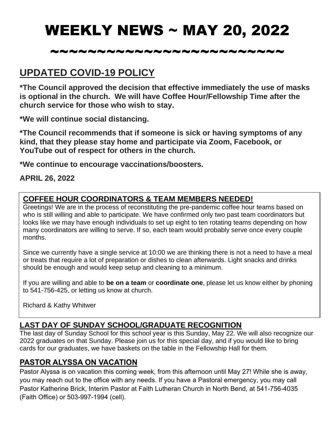# WEEKLY NEWS ~ MAY 20, 2022

## ~~~~~~~~~~~~~~~~~~~~~~~~~

### **UPDATED COVID-19 POLICY**

**\*The Council approved the decision that effective immediately the use of masks is optional in the church. We will have Coffee Hour/Fellowship Time after the church service for those who wish to stay.**

**\*We will continue social distancing.**

**\*The Council recommends that if someone is sick or having symptoms of any kind, that they please stay home and participate via Zoom, Facebook, or YouTube out of respect for others in the church.**

**\*We continue to encourage vaccinations/boosters.**

#### **APRIL 26, 2022**

#### **COFFEE HOUR COORDINATORS & TEAM MEMBERS NEEDED!**

Greetings! We are in the process of reconstituting the pre-pandemic coffee hour teams based on who is still willing and able to participate. We have confirmed only two past team coordinators but looks like we may have enough individuals to set up eight to ten rotating teams depending on how many coordinators are willing to serve. If so, each team would probably serve once every couple months.

Since we currently have a single service at 10:00 we are thinking there is not a need to have a meal or treats that require a lot of preparation or dishes to clean afterwards. Light snacks and drinks should be enough and would keep setup and cleaning to a minimum.

If you are willing and able to **be on a team** or **coordinate one**, please let us know either by phoning to 541-756-425, or letting us know at church.

Richard & Kathy Whitwer

#### **LAST DAY OF SUNDAY SCHOOL/GRADUATE RECOGNITION**

The last day of Sunday School for this school year is this Sunday, May 22. We will also recognize our 2022 graduates on that Sunday. Please join us for this special day, and if you would like to bring cards for our graduates, we have baskets on the table in the Fellowship Hall for them.

#### **PASTOR ALYSSA ON VACATION**

Pastor Alyssa is on vacation this coming week, from this afternoon until May 27! While she is away, you may reach out to the office with any needs. If you have a Pastoral emergency, you may call Pastor Katherine Brick, Interim Pastor at Faith Lutheran Church in North Bend, at 541-756-4035 (Faith Office) or 503-997-1994 (cell).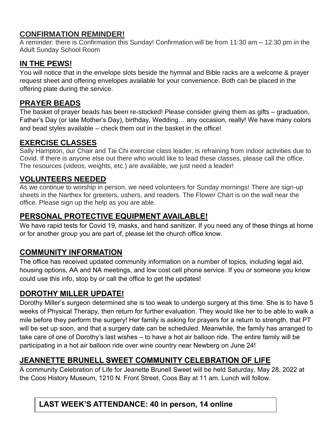#### **CONFIRMATION REMINDER!**

A reminder: there is Confirmation this Sunday! Confirmation will be from 11:30 am – 12:30 pm in the Adult Sunday School Room

#### **IN THE PEWS!**

You will notice that in the envelope slots beside the hymnal and Bible racks are a welcome & prayer request sheet and offering envelopes available for your convenience. Both can be placed in the offering plate during the service.

#### **PRAYER BEADS**

The basket of prayer beads has been re-stocked! Please consider giving them as gifts – graduation, Father's Day (or late Mother's Day), birthday, Wedding… any occasion, really! We have many colors and bead styles available – check them out in the basket in the office!

#### **EXERCISE CLASSES**

Sally Hampton, our Chair and Tai Chi exercise class leader, is refraining from indoor activities due to Covid. If there is anyone else out there who would like to lead these classes, please call the office. The resources (videos, weights, etc.) are available, we just need a leader!

#### **VOLUNTEERS NEEDED**

As we continue to worship in person, we need volunteers for Sunday mornings! There are sign-up sheets in the Narthex for greeters, ushers, and readers. The Flower Chart is on the wall near the office. Please sign up the help as you are able.

#### **PERSONAL PROTECTIVE EQUIPMENT AVAILABLE!**

We have rapid tests for Covid 19, masks, and hand sanitizer. If you need any of these things at home or for another group you are part of, please let the church office know.

#### **COMMUNITY INFORMATION**

The office has received updated community information on a number of topics, including legal aid, housing options, AA and NA meetings, and low cost cell phone service. If you or someone you know could use this info, stop by or call the office to get the updates!

#### **DOROTHY MILLER UPDATE!**

Dorothy Miller's surgeon determined she is too weak to undergo surgery at this time. She is to have 5 weeks of Physical Therapy, then return for further evaluation. They would like her to be able to walk a mile before they perform the surgery! Her family is asking for prayers for a return to strength, that PT will be set up soon, and that a surgery date can be scheduled. Meanwhile, the family has arranged to take care of one of Dorothy's last wishes – to have a hot air balloon ride. The entire family will be participating in a hot air balloon ride over wine country near Newberg on June 24!

#### **JEANNETTE BRUNELL SWEET COMMUNITY CELEBRATION OF LIFE**

A community Celebration of Life for Jeanette Brunell Sweet will be held Saturday, May 28, 2022 at the Coos History Museum, 1210 N. Front Street, Coos Bay at 11 am. Lunch will follow.

#### **LAST WEEK'S ATTENDANCE: 40 in person, 14 online**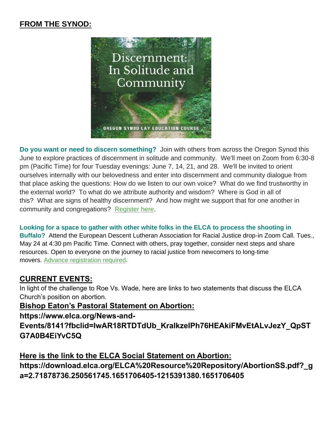#### **FROM THE SYNOD:**



**Do you want or need to discern something?** Join with others from across the Oregon Synod this June to explore practices of discernment in solitude and community. We'll meet on Zoom from 6:30-8 pm (Pacific Time) for four Tuesday evenings: June 7, 14, 21, and 28. We'll be invited to orient ourselves internally with our belovedness and enter into discernment and community dialogue from that place asking the questions: How do we listen to our own voice? What do we find trustworthy in the external world? To what do we attribute authority and wisdom? Where is God in all of this? What are signs of healthy discernment? And how might we support that for one another in community and congregations? [Register here.](https://oregonsynod.us8.list-manage.com/track/click?u=ae3a96d1d43bb3c973f63ae2d&id=082c74a1b3&e=c55458bf74)

#### **Looking for a space to gather with other white folks in the ELCA to process the shooting in**

**Buffalo?** Attend the European Descent Lutheran Association for Racial Justice drop-in Zoom Call. Tues., May 24 at 4:30 pm Pacific Time. Connect with others, pray together, consider next steps and share resources. Open to everyone on the journey to racial justice from newcomers to long-time movers. [Advance registration required.](https://oregonsynod.us8.list-manage.com/track/click?u=ae3a96d1d43bb3c973f63ae2d&id=dc674183c7&e=c55458bf74)

#### **CURRENT EVENTS:**

In light of the challenge to Roe Vs. Wade, here are links to two statements that discuss the ELCA Church's position on abortion.

#### **Bishop Eaton's Pastoral Statement on Abortion:**

**https://www.elca.org/News-and-**

**Events/8141?fbclid=IwAR18RTDTdUb\_KraIkzeIPh76HEAkiFMvEtALvJezY\_QpST G7A0B4EiYvC5Q**

**Here is the link to the ELCA Social Statement on Abortion: https://download.elca.org/ELCA%20Resource%20Repository/AbortionSS.pdf?\_g a=2.71878736.250561745.1651706405-1215391380.1651706405**